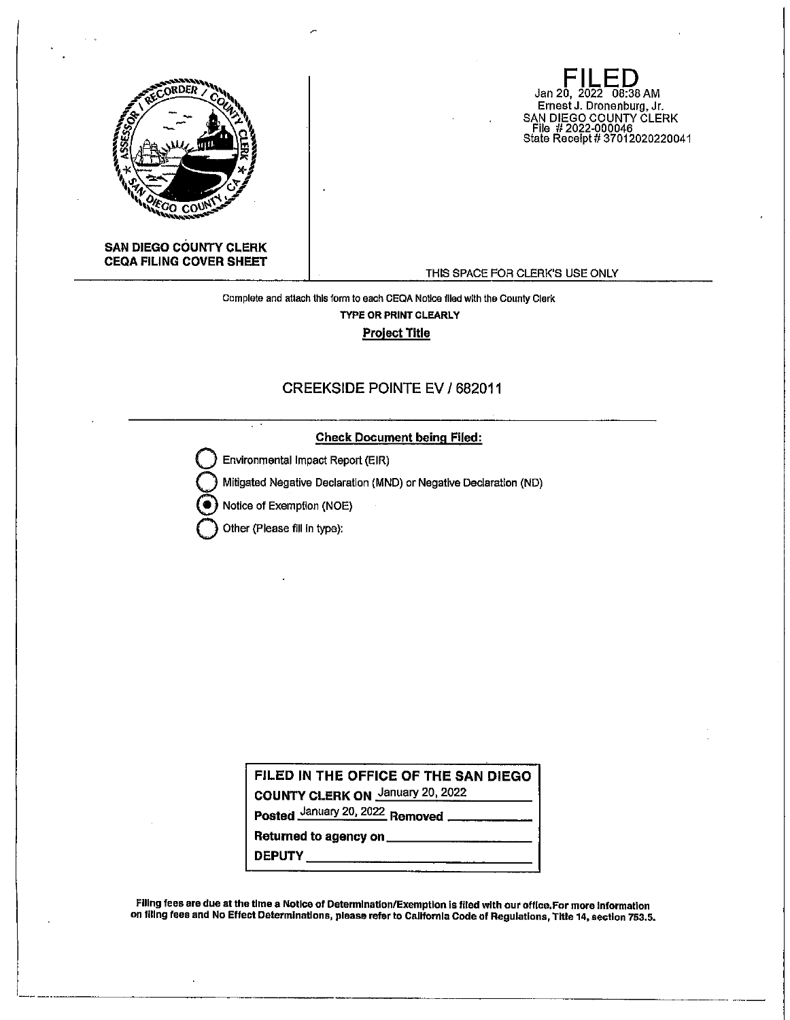

**SAN DIEGO COUNTY CLERK CEQA FILING COVER SHEET** 

**FILED**  Jan 20, 2022 08:38 AM Ernest J. Dronenburg, Jr. SAN DIEGO COUNTY CLERK File # 2022-000046 State Receipt# 37012020220041

THIS SPACE FOR CLERK'S USE ONLY

Complete and attach this form to each CEQA Notice filed with the County Clerk **TYPE OR PRINT CLEARLY Project Title** 

# CREEKSIDE POINTE EV/ 682011

### **Check Document being Filed:**

**Environmental Impact Report (EIR)** 

**Q** Mitigated Negative Declaration (MND) or Negative Declaration (ND)

@ Notice of Exemption (NOE)

**Q** Other (Please fill in type):

**FILED IN THE OFFICE OF THE SAN DIEGO COUNTY CLERK ON** January 20, 2022

**Posted**  $\frac{\text{January } 20, 2022}{\text{Removed}}$  **<b>Removed** 

**Returned to agency on \_\_\_\_\_\_\_\_\_ \_ DEPUTY \_\_\_\_\_\_\_\_\_\_\_\_ \_** 

FIiing fees are due at the time a Notice of Determination/Exemption Is filed with our office.For more Information on flllng fees and No Effect Determinations, please refer to California Code of Regulations, Tltle 14, section 753.5.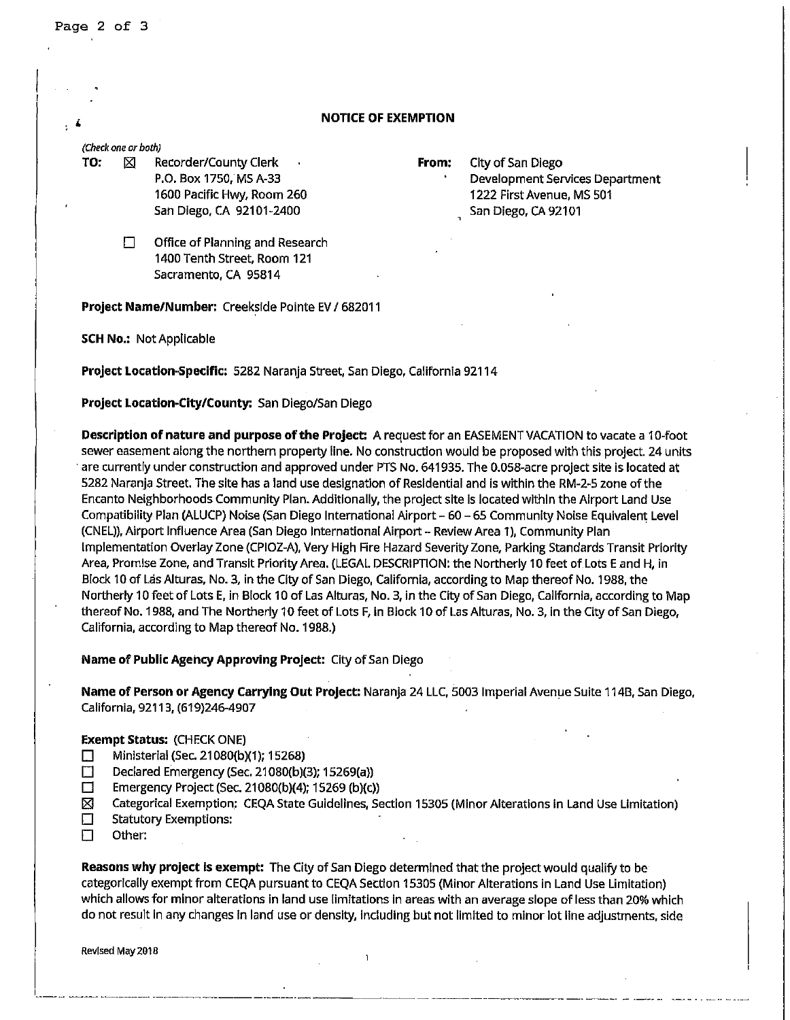## **NOTICE OF EXEMPTION**

#### (Check one or both)

**TO:**  $\boxtimes$  Recorder/County Clerk **From:** City of San Diego P.O. Box 1750, MS A-33 1600 Pacific Hwy, Room 260 San Diego, CA 92101-2400

Development Services Department 1222 First Avenue, MS 501 San Diego, CA 92101

 $\Box$  Office of Planning and Research 1400 Tenth Street, Room 121 Sacramento, CA 95814

**Project Name/Number:** Creekside Pointe EV/ 682011

**SCH No.:** Not Applicable

**Project Location-Specific:** 5282 Naranja Street, San Diego, California 92114

**Project Location-City/County:** San Diego/San Diego

**Description of nature and purpose of the Project:** A request for an EASEMENT VACATION to vacate a 10-foot sewer easement along the northern property line. No construction would be proposed with this project. 24 units are currently under construction and approved under PTS No. 641935. The 0.058-acre project site is located at 5282 Naranja Street. The site has a land use designation of Residential and is within the RM-2-5 zone of the Encanto Neighborhoods Community Plan. Additionally, the project site Is located within the Airport Land Use Compatibility Plan (ALUCP) Noise (San Diego International Airport - 60 - 65 Community Noise Equivalent Level (CNEL)), Airport Influence Area (San Diego International Airport- Review Area 1), Community Plan Implementation Overlay Zone (CPIOZ-A), Very High Fire Hazard Severity Zone, Parking Standards Transit Priority Area, Promise Zone, and Transit Priority Area. (LEGAL DESCRIPTION: the Northerly 10 feet of Lots E and H, in Block 10 of Las Alturas, No. 3, in the City of San Diego, California, according to Map thereof No. 1988, the Northerly 10 feet of Lots E, in Block 10 ofLas Alturas, No. 3, in the City of San Diego, California, according to Map thereof No. 1988, and The Northerly 10 feet of Lots F, in Block 10 of Las Alturas, No. 3, in the City of San Diego, California, according to Map thereof No. 1988.)

**Name of Public Agency Approving Project:** City of San Diego

**Name of Person or Agency Carrying Out Project:** Naranja 24 LLC, 5003 Imperial Avenue Suite 114B, San Diego, California, 92113, (619)246-4907

## **Exempt Status:** (CHECK ONE)

- **D** Ministerial (Sec. 21080(b)(1); 15268)
- Declared Emergency (Sec, 21080(b)(3); 15269(a))
- D Emergency Project (Sec. 21080(b)(4); 15269 (b)(c))
- 181 Categorical Exemption: CEQA State Guidelines, Section 15305 (Minor Alterations In Land Use Limitation)
- $\Box$  Statutory Exemptions:
- $\Pi$  Other:

**Reasons why project is exempt:** The City of San Diego determined that the project would qualify to be categorically exempt from CEQA pursuant to CEQA Section 15305 (Minor Alterations in Land Use Limitation) which allows for minor alterations in land use limitations in areas with an average slope of less than 20% which do not result in any changes in land use or density, including but not limited to minor lot line adjustments, side

 $\mathbf{I}$ 

Revised May 2018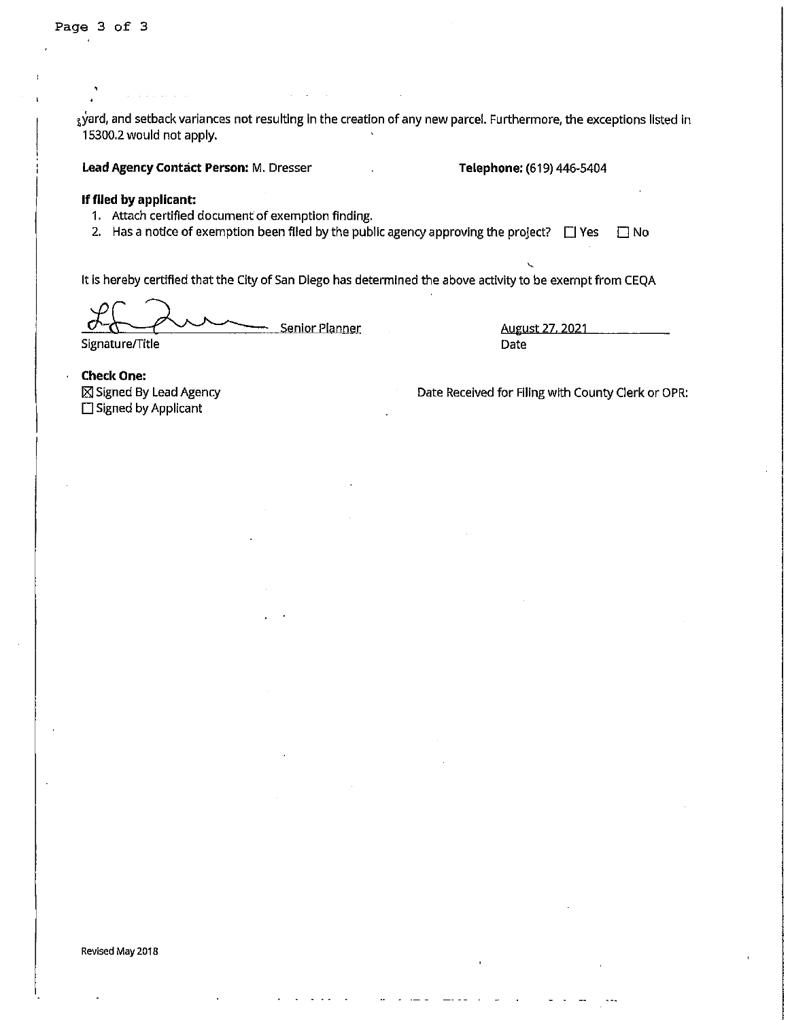$_3$ yard, and setback variances not resulting in the creation of any new parcel. Furthermore, the exceptions listed in 15300.2 would not apply.

**Lead Agency Contact Person:** M. Dresser **Telephone: (619) 446-5404** 

# **If filed by applicant:**

and the

- 1. Attach certified document of exemption finding.
- 2. Has a notice of exemption been filed by the public agency approving the project?  $\Box$  Yes  $\Box$  No

It is hereby certified that the City of San Diego has determined the above activity to be exempt from CEQA

Signature/Title Senior Planner 8!.!gUSt 27. 2021

Date

**Check One:**   $\boxtimes$  Signed By Lead Agency  $\square$  Signed by Applicant

l,

Date Received for Filing with County Clerk or OPR: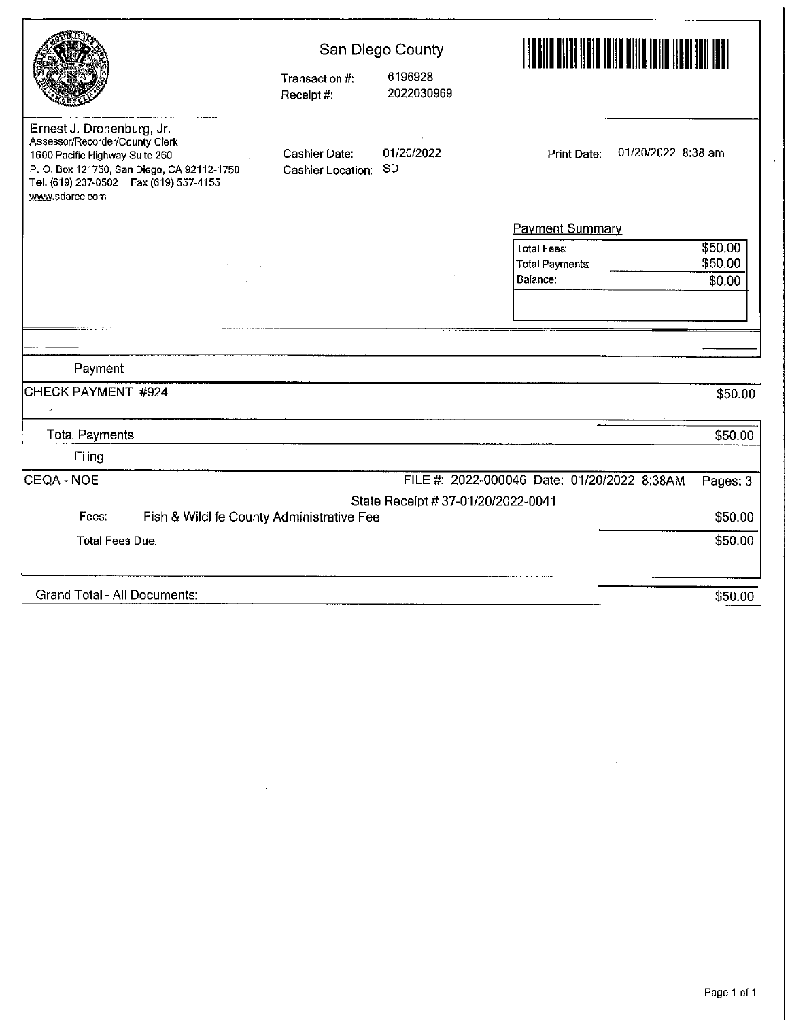|                                                                                                                                                                                                            | San Diego County<br>6196928<br>Transaction #: |                                   |                                                         |  |
|------------------------------------------------------------------------------------------------------------------------------------------------------------------------------------------------------------|-----------------------------------------------|-----------------------------------|---------------------------------------------------------|--|
|                                                                                                                                                                                                            | Receipt#:                                     | 2022030969                        |                                                         |  |
| Ernest J. Dronenburg, Jr.<br>Assessor/Recorder/County Clerk<br>1600 Pacific Highway Suite 260<br>P. O. Box 121750, San Diego, CA 92112-1750<br>Tel. (619) 237-0502    Fax (619) 557-4155<br>www.sdarcc.com | Cashier Date:<br>Cashier Location:            | 01/20/2022<br><b>SD</b>           | 01/20/2022 8:38 am<br>Print Date:                       |  |
|                                                                                                                                                                                                            |                                               |                                   | <b>Payment Summary</b>                                  |  |
|                                                                                                                                                                                                            |                                               |                                   | \$50.00<br>Total Fees:                                  |  |
|                                                                                                                                                                                                            |                                               |                                   | \$50.00<br><b>Total Payments</b>                        |  |
|                                                                                                                                                                                                            |                                               |                                   | Balance:<br>\$0.00                                      |  |
|                                                                                                                                                                                                            |                                               |                                   |                                                         |  |
|                                                                                                                                                                                                            |                                               |                                   |                                                         |  |
|                                                                                                                                                                                                            |                                               |                                   |                                                         |  |
| Payment                                                                                                                                                                                                    |                                               |                                   |                                                         |  |
| CHECK PAYMENT #924                                                                                                                                                                                         |                                               |                                   | \$50.00                                                 |  |
| <b>Total Payments</b>                                                                                                                                                                                      |                                               |                                   | \$50.00                                                 |  |
| Filing                                                                                                                                                                                                     |                                               |                                   |                                                         |  |
| <b>CEQA - NOE</b>                                                                                                                                                                                          |                                               |                                   | FILE #: 2022-000046 Date: 01/20/2022 8:38AM<br>Pages: 3 |  |
|                                                                                                                                                                                                            |                                               | State Receipt #37-01/20/2022-0041 |                                                         |  |
| Fees:<br>Fish & Wildlife County Administrative Fee                                                                                                                                                         |                                               |                                   | \$50.00                                                 |  |
| <b>Total Fees Due:</b>                                                                                                                                                                                     |                                               |                                   | \$50.00                                                 |  |
| <b>Grand Total - All Documents:</b>                                                                                                                                                                        |                                               |                                   | \$50.00                                                 |  |

 $\sim 10^6$ 

k,